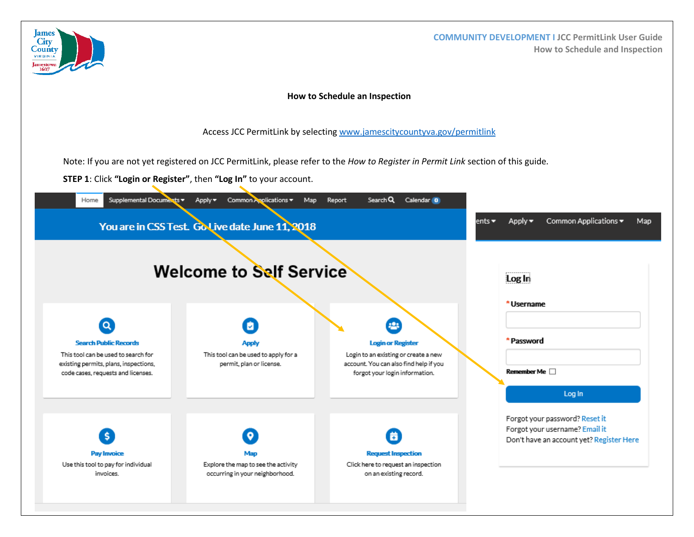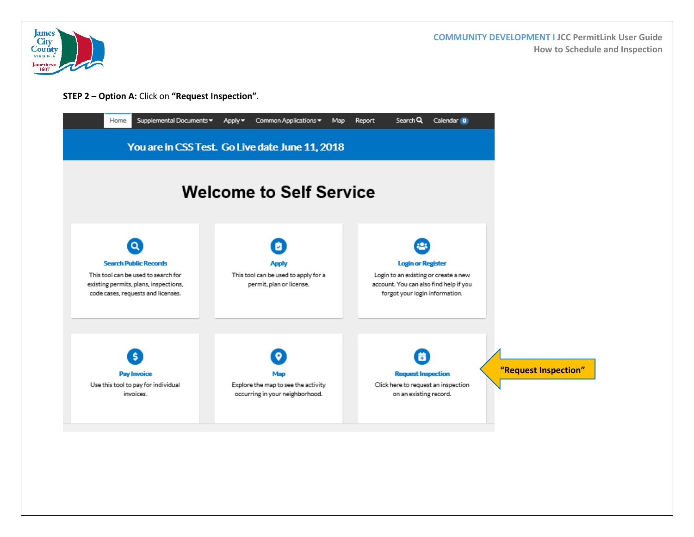

 **COMMUNITY DEVELOPMENT I JCC PermitLink User Guide How to Schedule and Inspection**

**STEP 2 – Option A:** Click on **"Request Inspection"**.

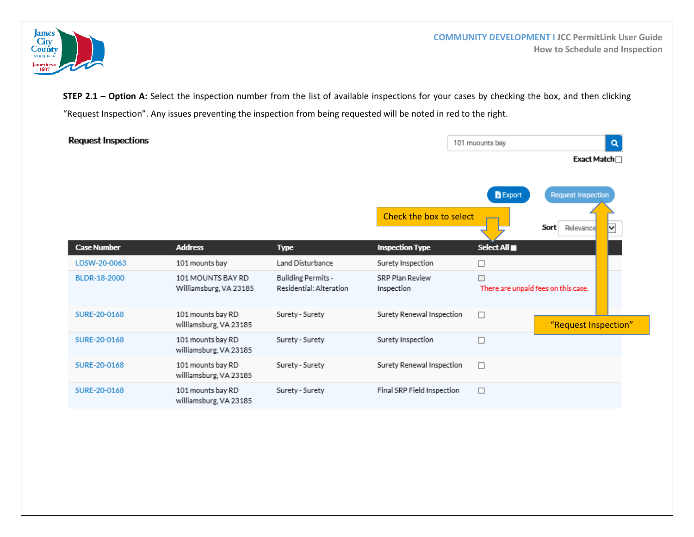

 **COMMUNITY DEVELOPMENT I JCC PermitLink User Guide How to Schedule and Inspection**

**STEP 2.1 - Option A:** Select the inspection number from the list of available inspections for your cases by checking the box, and then clicking "Request Inspection". Any issues preventing the inspection from being requested will be noted in red to the right.

| <b>Request Inspections</b> |                                             |                                               |                               | 101 muounts bay                          | Q                      |
|----------------------------|---------------------------------------------|-----------------------------------------------|-------------------------------|------------------------------------------|------------------------|
|                            |                                             |                                               |                               |                                          | Exact Match□           |
|                            |                                             |                                               | <b>B</b> Export               |                                          | Request Inspection     |
|                            |                                             |                                               | Check the box to select       |                                          | Sort<br>Relevance<br>◡ |
| <b>Case Number</b>         | <b>Address</b>                              | <b>Type</b>                                   | <b>Inspection Type</b>        | Select All $\blacksquare$                |                        |
| LDSW-20-0063               | 101 mounts bay                              | Land Disturbance                              | Surety Inspection             | □                                        |                        |
| BLDR-18-2000               | 101 MOUNTS BAY RD<br>Williamsburg, VA 23185 | Building Permits -<br>Residential: Alteration | SRP Plan Review<br>Inspection | П<br>There are unpaid fees on this case. |                        |
| SURE-20-0168               | 101 mounts bay RD<br>williamsburg, VA 23185 | Surety - Surety                               | Surety Renewal Inspection     | $\Box$                                   | "Request Inspection"   |
| SURE-20-0168               | 101 mounts bay RD<br>williamsburg, VA 23185 | Surety - Surety                               | Surety Inspection             | $\Box$                                   |                        |
| SURE-20-0168               | 101 mounts bay RD<br>williamsburg, VA 23185 | Surety - Surety                               | Surety Renewal Inspection     | п                                        |                        |
| SURE-20-0168               | 101 mounts bay RD<br>williamsburg, VA 23185 | Surety - Surety                               | Final SRP Field Inspection    | $\Box$                                   |                        |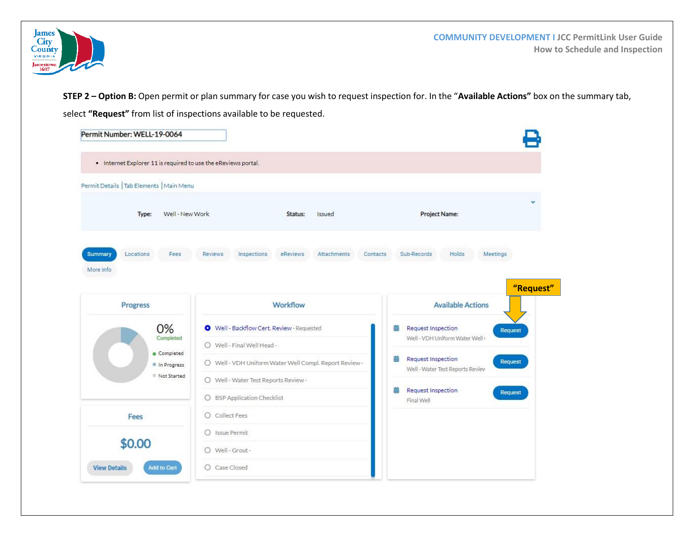

**STEP 2 – Option B:** Open permit or plan summary for case you wish to request inspection for. In the "**Available Actions"** box on the summary tab, select **"Request"** from list of inspections available to be requested.

| . Internet Explorer 11 is required to use the eReviews portal. |                                                          |                                                                        |
|----------------------------------------------------------------|----------------------------------------------------------|------------------------------------------------------------------------|
| Permit Details   Tab Elements   Main Menu                      |                                                          |                                                                        |
| Well - New Work<br>Type:                                       | Status:<br>Issued                                        | Project Name:                                                          |
| Summary<br>Locations<br>Fees<br>More Info                      | Inspections<br><b>Reviews</b><br>eReviews<br>Attachments | Holds<br>Sub-Records<br>Meetings<br>Contacts                           |
|                                                                |                                                          | "Request"                                                              |
| Progress                                                       | Workflow                                                 | <b>Available Actions</b>                                               |
| 0%                                                             | Well - Backflow Cert. Review - Requested                 | 曲<br><b>Request Inspection</b><br>Request                              |
| Completed                                                      | O Well - Final Well Head -                               | Well - VDH Uniform Water Well                                          |
| Completed<br>In Progress                                       | O Well - VDH Uniform Water Well Compl. Report Review -   | 曲<br>Request Inspection<br>Request<br>Well - Water Test Reports Review |
| Not Started                                                    | O Well - Water Test Reports Review -                     |                                                                        |
|                                                                | O BSP Application Checklist                              | <b>Request Inspection</b><br>譱<br>Request<br>Final Well                |
| Fees                                                           | $O$ Collect Fees                                         |                                                                        |
|                                                                | O Issue Permit                                           |                                                                        |
| \$0.00                                                         | O Well-Grout-                                            |                                                                        |